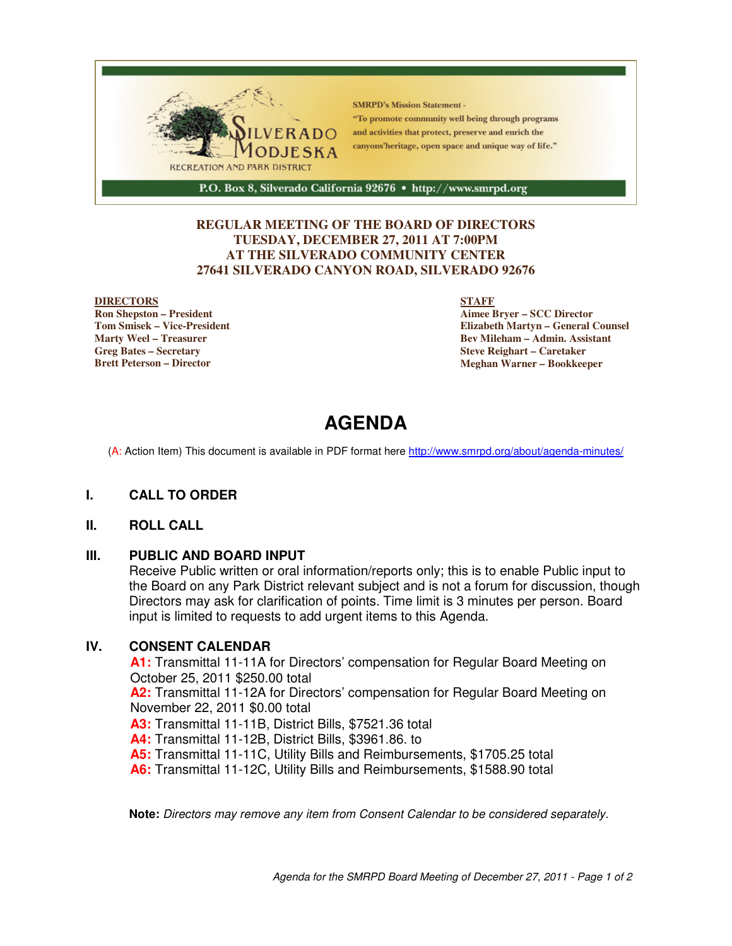

## **REGULAR MEETING OF THE BOARD OF DIRECTORS TUESDAY, DECEMBER 27, 2011 AT 7:00PM AT THE SILVERADO COMMUNITY CENTER 27641 SILVERADO CANYON ROAD, SILVERADO 92676**

#### **DIRECTORS**

**Ron Shepston – President Tom Smisek – Vice-President Marty Weel – Treasurer Greg Bates – Secretary Brett Peterson – Director**

#### **STAFF**

**Aimee Bryer – SCC Director Elizabeth Martyn – General Counsel Bev Mileham – Admin. Assistant Steve Reighart – Caretaker Meghan Warner – Bookkeeper**

# **AGENDA**

(A: Action Item) This document is available in PDF format here http://www.smrpd.org/about/agenda-minutes/

## **I. CALL TO ORDER**

## **II. ROLL CALL**

## **III. PUBLIC AND BOARD INPUT**

Receive Public written or oral information/reports only; this is to enable Public input to the Board on any Park District relevant subject and is not a forum for discussion, though Directors may ask for clarification of points. Time limit is 3 minutes per person. Board input is limited to requests to add urgent items to this Agenda.

#### **IV. CONSENT CALENDAR**

**A1:** Transmittal 11-11A for Directors' compensation for Regular Board Meeting on October 25, 2011 \$250.00 total

**A2:** Transmittal 11-12A for Directors' compensation for Regular Board Meeting on November 22, 2011 \$0.00 total

**A3:** Transmittal 11-11B, District Bills, \$7521.36 total

**A4:** Transmittal 11-12B, District Bills, \$3961.86. to

**A5:** Transmittal 11-11C, Utility Bills and Reimbursements, \$1705.25 total

**A6:** Transmittal 11-12C, Utility Bills and Reimbursements, \$1588.90 total

**Note:** Directors may remove any item from Consent Calendar to be considered separately.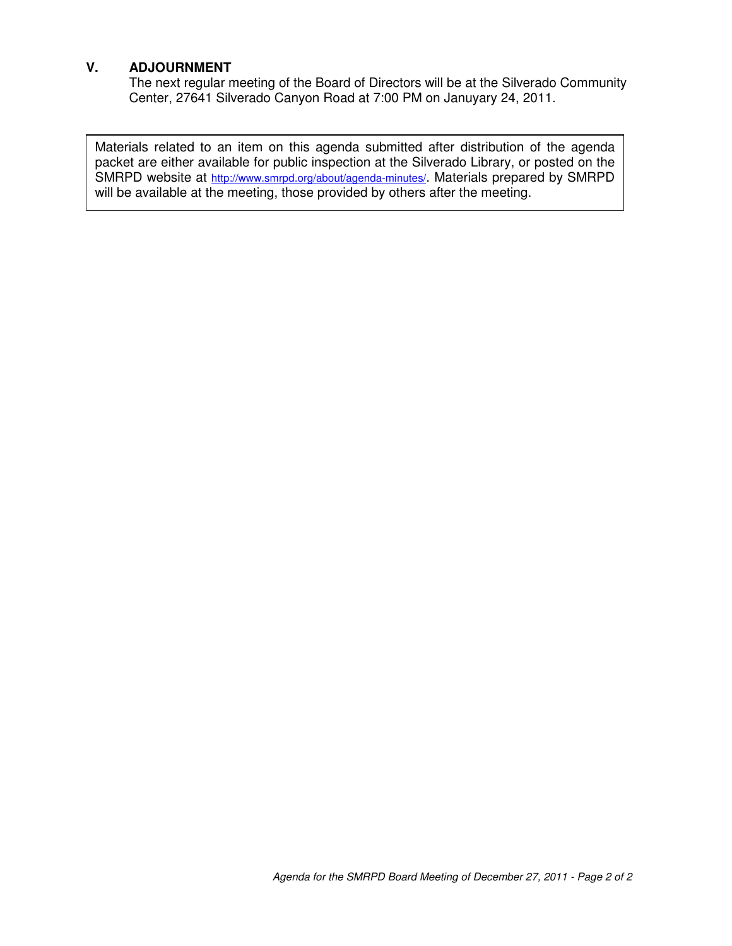# **V. ADJOURNMENT**

The next regular meeting of the Board of Directors will be at the Silverado Community Center, 27641 Silverado Canyon Road at 7:00 PM on Januyary 24, 2011.

Materials related to an item on this agenda submitted after distribution of the agenda packet are either available for public inspection at the Silverado Library, or posted on the SMRPD website at http://www.smrpd.org/about/agenda-minutes/. Materials prepared by SMRPD will be available at the meeting, those provided by others after the meeting.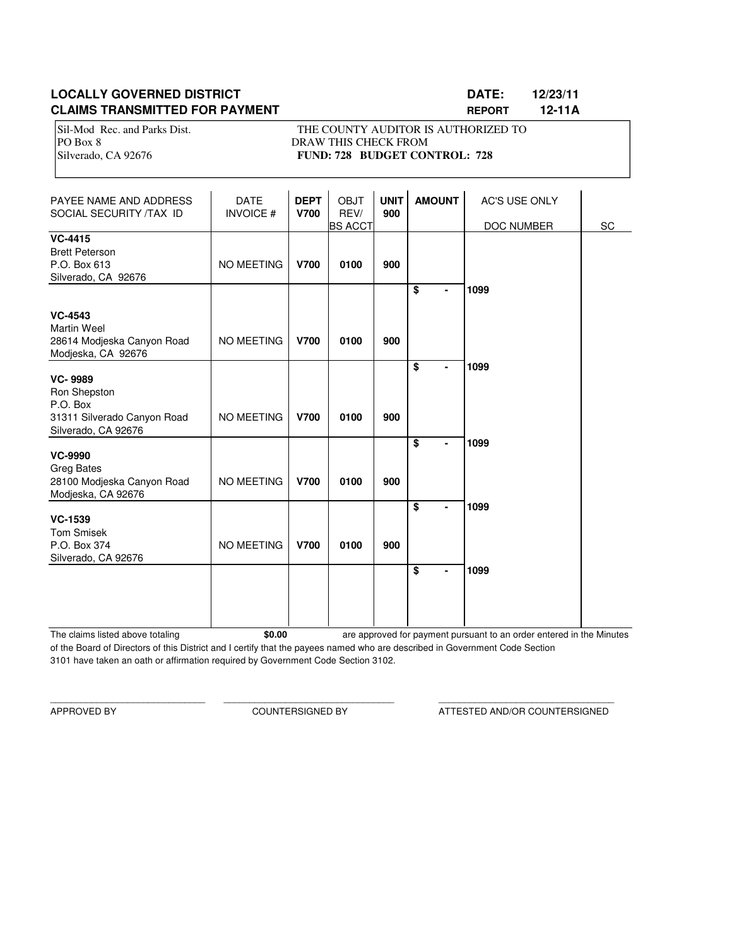# **LOCALLY GOVERNED DISTRICT DATE: 12/23/11 CLAIMS TRANSMITTED FOR PAYMENT REPORT 12-11A**

PO Box 8 DRAW THIS CHECK FROM

Sil-Mod Rec. and Parks Dist. THE COUNTY AUDITOR IS AUTHORIZED TO Silverado, CA 92676 **FUND: 728 BUDGET CONTROL: 728** 

| PAYEE NAME AND ADDRESS<br>SOCIAL SECURITY /TAX ID                                                | <b>DATE</b><br><b>INVOICE#</b> | <b>DEPT</b><br><b>V700</b> | <b>OBJT</b><br>REV/<br><b>BS ACCT</b> | <b>UNIT</b><br>900 | <b>AMOUNT</b>                                          | <b>AC'S USE ONLY</b><br>DOC NUMBER | SC |
|--------------------------------------------------------------------------------------------------|--------------------------------|----------------------------|---------------------------------------|--------------------|--------------------------------------------------------|------------------------------------|----|
| <b>VC-4415</b><br><b>Brett Peterson</b><br>P.O. Box 613<br>Silverado, CA 92676                   | <b>NO MEETING</b>              | <b>V700</b>                | 0100                                  | 900                |                                                        |                                    |    |
| <b>VC-4543</b><br><b>Martin Weel</b><br>28614 Modjeska Canyon Road<br>Modjeska, CA 92676         | <b>NO MEETING</b>              | <b>V700</b>                | 0100                                  | 900                | \$<br>$\overline{a}$                                   | 1099                               |    |
| <b>VC-9989</b><br>Ron Shepston<br>P.O. Box<br>31311 Silverado Canyon Road<br>Silverado, CA 92676 | <b>NO MEETING</b>              | <b>V700</b>                | 0100                                  | 900                | $\overline{\boldsymbol{\mathsf{s}}}$<br>$\blacksquare$ | 1099                               |    |
| <b>VC-9990</b><br><b>Greg Bates</b><br>28100 Modjeska Canyon Road<br>Modjeska, CA 92676          | <b>NO MEETING</b>              | <b>V700</b>                | 0100                                  | 900                | $\overline{\$}$                                        | 1099                               |    |
| <b>VC-1539</b><br><b>Tom Smisek</b><br>P.O. Box 374<br>Silverado, CA 92676                       | <b>NO MEETING</b>              | <b>V700</b>                | 0100                                  | 900                | $\overline{\boldsymbol{\mathsf{s}}}$<br>$\blacksquare$ | 1099                               |    |
|                                                                                                  |                                |                            |                                       |                    | \$<br>۰                                                | 1099                               |    |

The claims listed above totaling **\$0.00** of the Board of Directors of this District and I certify that the payees named who are described in Government Code Section 3101 have taken an oath or affirmation required by Government Code Section 3102. are approved for payment pursuant to an order entered in the Minutes

\_\_\_\_\_\_\_\_\_\_\_\_\_\_\_\_\_\_\_\_\_\_\_\_\_\_\_\_\_\_ \_\_\_\_\_\_\_\_\_\_\_\_\_\_\_\_\_\_\_\_\_\_\_\_\_\_\_\_\_\_\_\_\_ \_\_\_\_\_\_\_\_\_\_\_\_\_\_\_\_\_\_\_\_\_\_\_\_\_\_\_\_\_\_\_\_\_\_

APPROVED BY COUNTERSIGNED BY ATTESTED AND/OR COUNTERSIGNED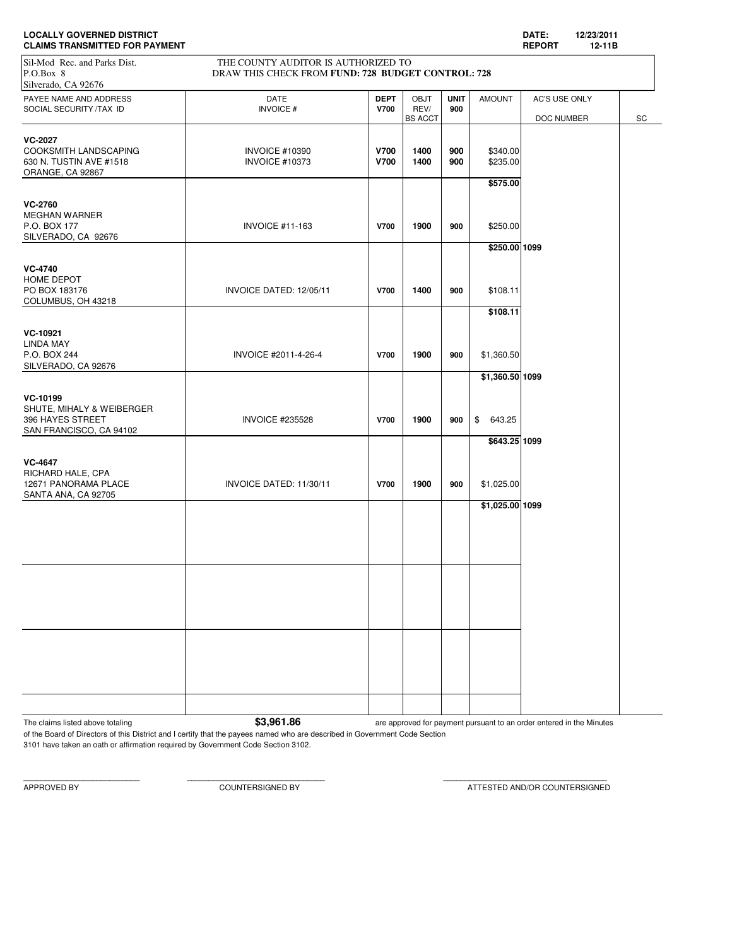| <b>LOCALLY GOVERNED DISTRICT</b><br><b>CLAIMS TRANSMITTED FOR PAYMENT</b>                                                                                     |                                                |                            |                                       |                    |                                                | DATE:<br>12/23/2011<br><b>REPORT</b><br>12-11B |    |  |
|---------------------------------------------------------------------------------------------------------------------------------------------------------------|------------------------------------------------|----------------------------|---------------------------------------|--------------------|------------------------------------------------|------------------------------------------------|----|--|
| THE COUNTY AUDITOR IS AUTHORIZED TO<br>Sil-Mod Rec. and Parks Dist.<br>DRAW THIS CHECK FROM FUND: 728 BUDGET CONTROL: 728<br>P.O.Box 8<br>Silverado, CA 92676 |                                                |                            |                                       |                    |                                                |                                                |    |  |
| PAYEE NAME AND ADDRESS<br>SOCIAL SECURITY /TAX ID                                                                                                             | <b>DATE</b><br><b>INVOICE#</b>                 | <b>DEPT</b><br><b>V700</b> | <b>OBJT</b><br>REV/<br><b>BS ACCT</b> | <b>UNIT</b><br>900 | <b>AMOUNT</b>                                  | AC'S USE ONLY<br>DOC NUMBER                    | SC |  |
| <b>VC-2027</b><br>COOKSMITH LANDSCAPING<br>630 N. TUSTIN AVE #1518<br>ORANGE, CA 92867                                                                        | <b>INVOICE #10390</b><br><b>INVOICE #10373</b> | <b>V700</b><br><b>V700</b> | 1400<br>1400                          | 900<br>900         | \$340.00<br>\$235.00<br>\$575.00               |                                                |    |  |
| <b>VC-2760</b><br><b>MEGHAN WARNER</b><br>P.O. BOX 177<br>SILVERADO, CA 92676                                                                                 | <b>INVOICE #11-163</b>                         | <b>V700</b>                | 1900                                  | 900                | \$250.00<br>\$250.00 1099                      |                                                |    |  |
| <b>VC-4740</b><br>HOME DEPOT<br>PO BOX 183176<br>COLUMBUS, OH 43218                                                                                           | INVOICE DATED: 12/05/11                        | <b>V700</b>                | 1400                                  | 900                | \$108.11                                       |                                                |    |  |
| VC-10921<br>LINDA MAY<br>P.O. BOX 244<br>SILVERADO, CA 92676                                                                                                  | INVOICE #2011-4-26-4                           | <b>V700</b>                | 1900                                  | 900                | \$108.11<br>\$1,360.50                         |                                                |    |  |
| VC-10199<br>SHUTE, MIHALY & WEIBERGER<br>396 HAYES STREET<br>SAN FRANCISCO, CA 94102                                                                          | <b>INVOICE #235528</b>                         | <b>V700</b>                | 1900                                  | 900                | \$1,360.50 1099<br>\$<br>643.25                |                                                |    |  |
| <b>VC-4647</b><br>RICHARD HALE, CPA<br>12671 PANORAMA PLACE<br>SANTA ANA, CA 92705                                                                            | INVOICE DATED: 11/30/11                        | <b>V700</b>                | 1900                                  | 900                | \$643.25 1099<br>\$1,025.00<br>\$1,025.00 1099 |                                                |    |  |
|                                                                                                                                                               |                                                |                            |                                       |                    |                                                |                                                |    |  |
|                                                                                                                                                               |                                                |                            |                                       |                    |                                                |                                                |    |  |
|                                                                                                                                                               |                                                |                            |                                       |                    |                                                |                                                |    |  |
|                                                                                                                                                               |                                                |                            |                                       |                    |                                                |                                                |    |  |

3101 have taken an oath or affirmation required by Government Code Section 3102.

APPROVED BY COUNTERSIGNED BY ATTESTED AND/OR COUNTERSIGNED